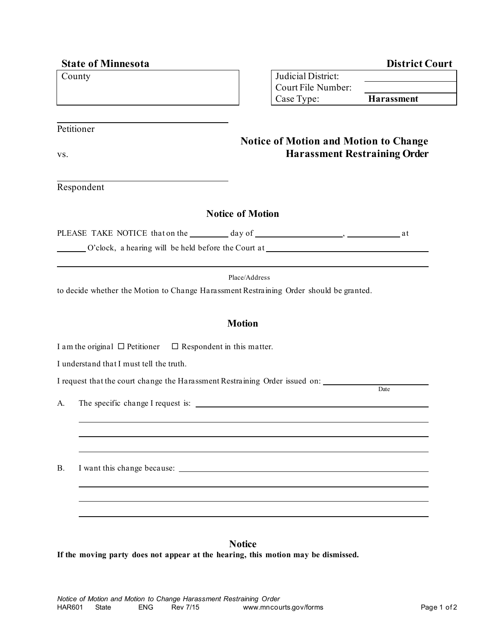| <b>State of Minnesota</b>                                                              | <b>District Court</b>                                                            |
|----------------------------------------------------------------------------------------|----------------------------------------------------------------------------------|
| County                                                                                 | Judicial District:                                                               |
|                                                                                        | Court File Number:                                                               |
|                                                                                        | Case Type:<br><b>Harassment</b>                                                  |
| Petitioner                                                                             |                                                                                  |
|                                                                                        | <b>Notice of Motion and Motion to Change</b>                                     |
| VS.                                                                                    | <b>Harassment Restraining Order</b>                                              |
|                                                                                        |                                                                                  |
| Respondent                                                                             |                                                                                  |
|                                                                                        | <b>Notice of Motion</b>                                                          |
|                                                                                        |                                                                                  |
|                                                                                        | O'clock, a hearing will be held before the Court at ____________________________ |
|                                                                                        |                                                                                  |
|                                                                                        | Place/Address                                                                    |
| to decide whether the Motion to Change Harassment Restraining Order should be granted. |                                                                                  |
|                                                                                        |                                                                                  |
|                                                                                        | <b>Motion</b>                                                                    |
| I am the original $\Box$ Petitioner $\Box$ Respondent in this matter.                  |                                                                                  |
|                                                                                        |                                                                                  |
| I understand that I must tell the truth.                                               |                                                                                  |
| I request that the court change the Harassment Restraining Order issued on:            | Date                                                                             |
| The specific change I request is:<br>A.                                                |                                                                                  |
|                                                                                        |                                                                                  |
|                                                                                        |                                                                                  |
|                                                                                        |                                                                                  |
| <b>B.</b>                                                                              |                                                                                  |
|                                                                                        |                                                                                  |
|                                                                                        |                                                                                  |
|                                                                                        |                                                                                  |
|                                                                                        |                                                                                  |
|                                                                                        | <b>Notice</b>                                                                    |
| If the moving party does not appear at the hearing, this motion may be dismissed.      |                                                                                  |